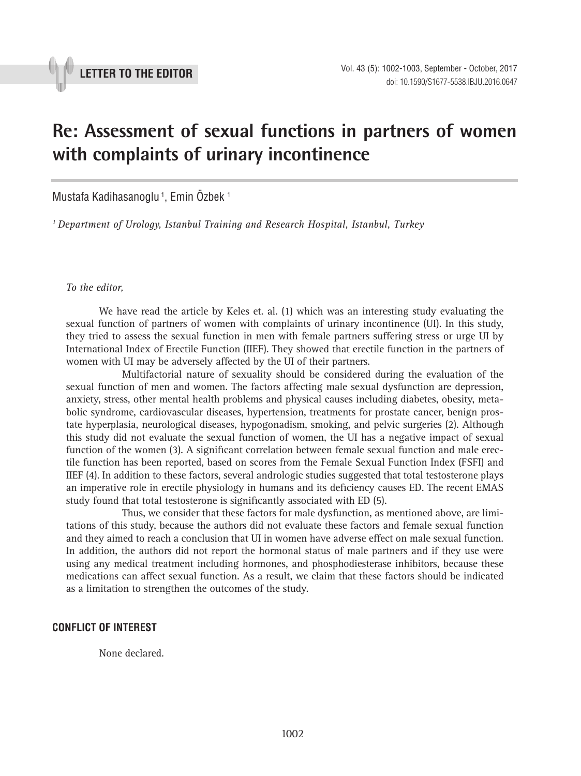

## **Re: Assessment of sexual functions in partners of women with complaints of urinary incontinence**

**\_\_\_\_\_\_\_\_\_\_\_\_\_\_\_\_\_\_\_\_\_\_\_\_\_\_\_\_\_\_\_\_\_\_\_\_\_\_\_\_\_\_\_\_\_\_\_**

Mustafa Kadihasanoglu<sup>1</sup>, Emin Özbek<sup>1</sup>

*1 Department of Urology, Istanbul Training and Research Hospital, Istanbul, Turkey*

*To the editor,*

We have read the article by Keles et. al. (1) which was an interesting study evaluating the sexual function of partners of women with complaints of urinary incontinence (UI). In this study, they tried to assess the sexual function in men with female partners suffering stress or urge UI by International Index of Erectile Function (IIEF). They showed that erectile function in the partners of women with UI may be adversely affected by the UI of their partners.

Multifactorial nature of sexuality should be considered during the evaluation of the sexual function of men and women. The factors affecting male sexual dysfunction are depression, anxiety, stress, other mental health problems and physical causes including diabetes, obesity, metabolic syndrome, cardiovascular diseases, hypertension, treatments for prostate cancer, benign prostate hyperplasia, neurological diseases, hypogonadism, smoking, and pelvic surgeries (2). Although this study did not evaluate the sexual function of women, the UI has a negative impact of sexual function of the women (3). A significant correlation between female sexual function and male erectile function has been reported, based on scores from the Female Sexual Function Index (FSFI) and IIEF (4). In addition to these factors, several andrologic studies suggested that total testosterone plays an imperative role in erectile physiology in humans and its deficiency causes ED. The recent EMAS study found that total testosterone is significantly associated with ED (5).

Thus, we consider that these factors for male dysfunction, as mentioned above, are limitations of this study, because the authors did not evaluate these factors and female sexual function and they aimed to reach a conclusion that UI in women have adverse effect on male sexual function. In addition, the authors did not report the hormonal status of male partners and if they use were using any medical treatment including hormones, and phosphodiesterase inhibitors, because these medications can affect sexual function. As a result, we claim that these factors should be indicated as a limitation to strengthen the outcomes of the study.

## **CONFLICT OF INTEREST**

None declared.